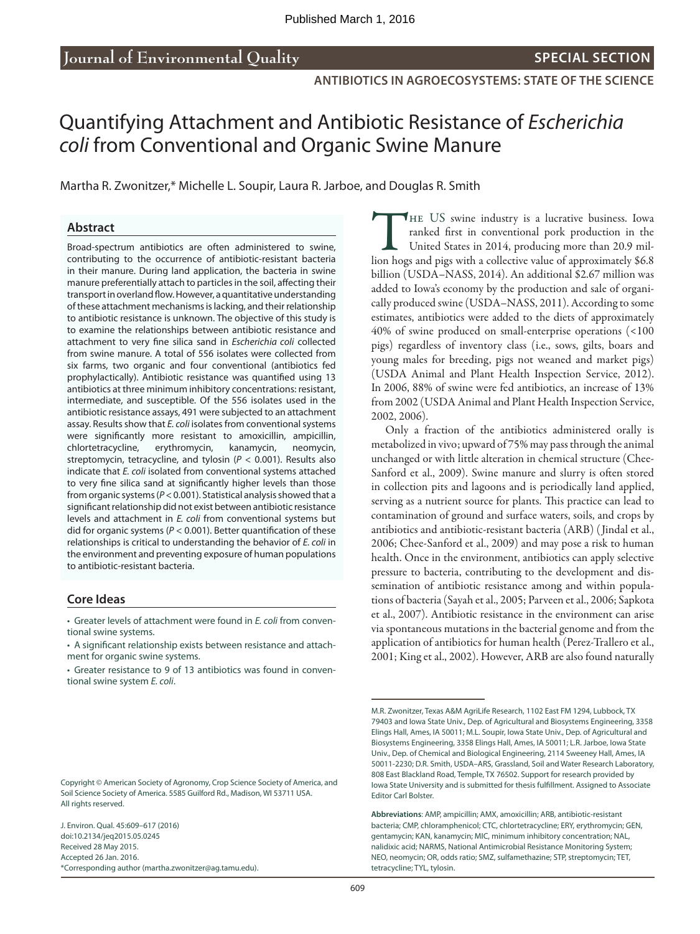# Quantifying Attachment and Antibiotic Resistance of *Escherichia coli* from Conventional and Organic Swine Manure

Martha R. Zwonitzer,\* Michelle L. Soupir, Laura R. Jarboe, and Douglas R. Smith

#### **Abstract**

Broad-spectrum antibiotics are often administered to swine, contributing to the occurrence of antibiotic-resistant bacteria in their manure. During land application, the bacteria in swine manure preferentially attach to particles in the soil, affecting their transport in overland flow. However, a quantitative understanding of these attachment mechanisms is lacking, and their relationship to antibiotic resistance is unknown. The objective of this study is to examine the relationships between antibiotic resistance and attachment to very fine silica sand in *Escherichia coli* collected from swine manure. A total of 556 isolates were collected from six farms, two organic and four conventional (antibiotics fed prophylactically). Antibiotic resistance was quantified using 13 antibiotics at three minimum inhibitory concentrations: resistant, intermediate, and susceptible. Of the 556 isolates used in the antibiotic resistance assays, 491 were subjected to an attachment assay. Results show that *E. coli* isolates from conventional systems were significantly more resistant to amoxicillin, ampicillin, chlortetracycline, erythromycin, kanamycin, neomycin, streptomycin, tetracycline, and tylosin (*P* < 0.001). Results also indicate that *E. coli* isolated from conventional systems attached to very fine silica sand at significantly higher levels than those from organic systems (*P* < 0.001). Statistical analysis showed that a significant relationship did not exist between antibiotic resistance levels and attachment in *E. coli* from conventional systems but did for organic systems (*P* < 0.001). Better quantification of these relationships is critical to understanding the behavior of *E. coli* in the environment and preventing exposure of human populations to antibiotic-resistant bacteria.

#### **Core Ideas**

• Greater levels of attachment were found in *E. coli* from conventional swine systems.

- A significant relationship exists between resistance and attachment for organic swine systems.
- • Greater resistance to 9 of 13 antibiotics was found in conventional swine system *E. coli*.

J. Environ. Qual. 45:609–617 (2016) doi:10.2134/jeq2015.05.0245 Received 28 May 2015. Accepted 26 Jan. 2016. \*Corresponding author ([martha.zwonitzer@ag.tamu.edu\)](mailto:martha.zwonitzer@ag.tamu.edu). THE US swine industry is a lucrative business. Iowa<br>ranked first in conventional pork production in the<br>United States in 2014, producing more than 20.9 mil-<br>lion hogs and pigs with a collective value of approximately \$6.8 ranked first in conventional pork production in the United States in 2014, producing more than 20.9 million hogs and pigs with a collective value of approximately \$6.8 billion (USDA–NASS, 2014). An additional \$2.67 million was added to Iowa's economy by the production and sale of organically produced swine (USDA–NASS, 2011). According to some estimates, antibiotics were added to the diets of approximately 40% of swine produced on small-enterprise operations (<100 pigs) regardless of inventory class (i.e., sows, gilts, boars and young males for breeding, pigs not weaned and market pigs) (USDA Animal and Plant Health Inspection Service, 2012). In 2006, 88% of swine were fed antibiotics, an increase of 13% from 2002 (USDA Animal and Plant Health Inspection Service, 2002, 2006).

Only a fraction of the antibiotics administered orally is metabolized in vivo; upward of 75% may pass through the animal unchanged or with little alteration in chemical structure (Chee-Sanford et al., 2009). Swine manure and slurry is often stored in collection pits and lagoons and is periodically land applied, serving as a nutrient source for plants. This practice can lead to contamination of ground and surface waters, soils, and crops by antibiotics and antibiotic-resistant bacteria (ARB) ( Jindal et al., 2006; Chee-Sanford et al., 2009) and may pose a risk to human health. Once in the environment, antibiotics can apply selective pressure to bacteria, contributing to the development and dissemination of antibiotic resistance among and within populations of bacteria (Sayah et al., 2005; Parveen et al., 2006; Sapkota et al., 2007). Antibiotic resistance in the environment can arise via spontaneous mutations in the bacterial genome and from the application of antibiotics for human health (Perez-Trallero et al., 2001; King et al., 2002). However, ARB are also found naturally

Copyright © American Society of Agronomy, Crop Science Society of America, and Soil Science Society of America. 5585 Guilford Rd., Madison, WI 53711 USA. All rights reserved.

M.R. Zwonitzer, Texas A&M AgriLife Research, 1102 East FM 1294, Lubbock, TX 79403 and Iowa State Univ., Dep. of Agricultural and Biosystems Engineering, 3358 Elings Hall, Ames, IA 50011; M.L. Soupir, Iowa State Univ., Dep. of Agricultural and Biosystems Engineering, 3358 Elings Hall, Ames, IA 50011; L.R. Jarboe, Iowa State Univ., Dep. of Chemical and Biological Engineering, 2114 Sweeney Hall, Ames, IA 50011-2230; D.R. Smith, USDA–ARS, Grassland, Soil and Water Research Laboratory, 808 East Blackland Road, Temple, TX 76502. Support for research provided by Iowa State University and is submitted for thesis fulfillment. Assigned to Associate Editor Carl Bolster.

**Abbreviations**: AMP, ampicillin; AMX, amoxicillin; ARB, antibiotic-resistant bacteria; CMP, chloramphenicol; CTC, chlortetracycline; ERY, erythromycin; GEN, gentamycin; KAN, kanamycin; MIC, minimum inhibitory concentration; NAL, nalidixic acid; NARMS, National Antimicrobial Resistance Monitoring System; NEO, neomycin; OR, odds ratio; SMZ, sulfamethazine; STP, streptomycin; TET, tetracycline; TYL, tylosin.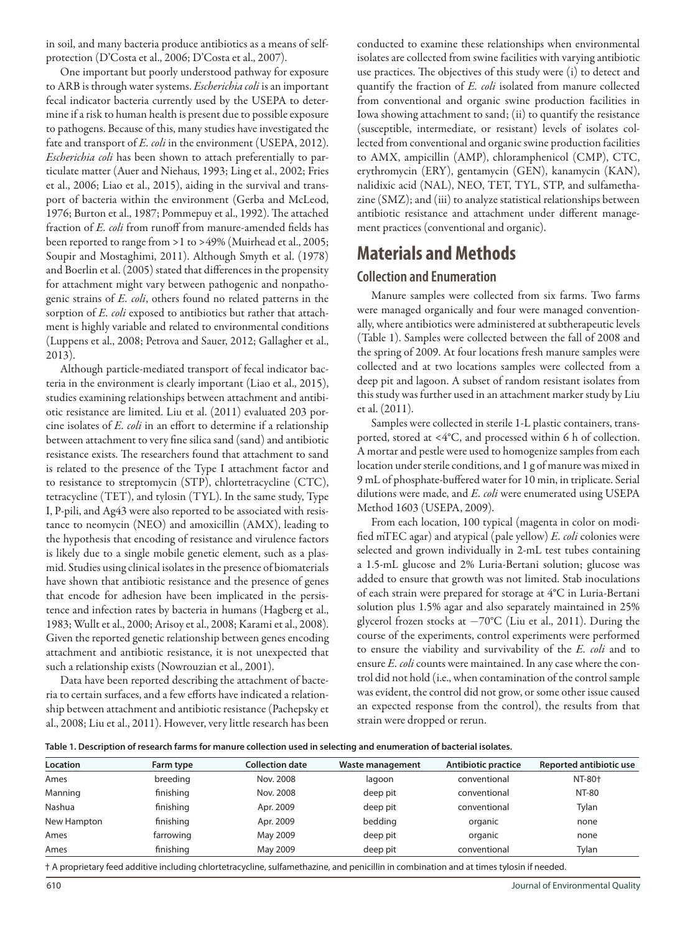in soil, and many bacteria produce antibiotics as a means of selfprotection (D'Costa et al., 2006; D'Costa et al., 2007).

One important but poorly understood pathway for exposure to ARB is through water systems. *Escherichia coli* is an important fecal indicator bacteria currently used by the USEPA to determine if a risk to human health is present due to possible exposure to pathogens. Because of this, many studies have investigated the fate and transport of *E. coli* in the environment (USEPA, 2012). *Escherichia coli* has been shown to attach preferentially to particulate matter (Auer and Niehaus, 1993; Ling et al., 2002; Fries et al., 2006; Liao et al., 2015), aiding in the survival and transport of bacteria within the environment (Gerba and McLeod, 1976; Burton et al., 1987; Pommepuy et al., 1992). The attached fraction of *E. coli* from runoff from manure-amended fields has been reported to range from >1 to >49% (Muirhead et al., 2005; Soupir and Mostaghimi, 2011). Although Smyth et al. (1978) and Boerlin et al. (2005) stated that differences in the propensity for attachment might vary between pathogenic and nonpathogenic strains of *E. coli*, others found no related patterns in the sorption of *E. coli* exposed to antibiotics but rather that attachment is highly variable and related to environmental conditions (Luppens et al., 2008; Petrova and Sauer, 2012; Gallagher et al., 2013).

Although particle-mediated transport of fecal indicator bacteria in the environment is clearly important (Liao et al., 2015), studies examining relationships between attachment and antibiotic resistance are limited. Liu et al. (2011) evaluated 203 porcine isolates of *E. coli* in an effort to determine if a relationship between attachment to very fine silica sand (sand) and antibiotic resistance exists. The researchers found that attachment to sand is related to the presence of the Type I attachment factor and to resistance to streptomycin (STP), chlortetracycline (CTC), tetracycline (TET), and tylosin (TYL). In the same study, Type I, P-pili, and Ag43 were also reported to be associated with resistance to neomycin (NEO) and amoxicillin (AMX), leading to the hypothesis that encoding of resistance and virulence factors is likely due to a single mobile genetic element, such as a plasmid. Studies using clinical isolates in the presence of biomaterials have shown that antibiotic resistance and the presence of genes that encode for adhesion have been implicated in the persistence and infection rates by bacteria in humans (Hagberg et al., 1983; Wullt et al., 2000; Arisoy et al., 2008; Karami et al., 2008). Given the reported genetic relationship between genes encoding attachment and antibiotic resistance, it is not unexpected that such a relationship exists (Nowrouzian et al., 2001).

Data have been reported describing the attachment of bacteria to certain surfaces, and a few efforts have indicated a relationship between attachment and antibiotic resistance (Pachepsky et al., 2008; Liu et al., 2011). However, very little research has been conducted to examine these relationships when environmental isolates are collected from swine facilities with varying antibiotic use practices. The objectives of this study were (i) to detect and quantify the fraction of *E. coli* isolated from manure collected from conventional and organic swine production facilities in Iowa showing attachment to sand; (ii) to quantify the resistance (susceptible, intermediate, or resistant) levels of isolates collected from conventional and organic swine production facilities to AMX, ampicillin (AMP), chloramphenicol (CMP), CTC, erythromycin (ERY), gentamycin (GEN), kanamycin (KAN), nalidixic acid (NAL), NEO, TET, TYL, STP, and sulfamethazine (SMZ); and (iii) to analyze statistical relationships between antibiotic resistance and attachment under different management practices (conventional and organic).

## **Materials and Methods**

## **Collection and Enumeration**

Manure samples were collected from six farms. Two farms were managed organically and four were managed conventionally, where antibiotics were administered at subtherapeutic levels (Table 1). Samples were collected between the fall of 2008 and the spring of 2009. At four locations fresh manure samples were collected and at two locations samples were collected from a deep pit and lagoon. A subset of random resistant isolates from this study was further used in an attachment marker study by Liu et al. (2011).

Samples were collected in sterile 1-L plastic containers, transported, stored at <4°C, and processed within 6 h of collection. A mortar and pestle were used to homogenize samples from each location under sterile conditions, and 1 g of manure was mixed in 9 mL of phosphate-buffered water for 10 min, in triplicate. Serial dilutions were made, and *E. coli* were enumerated using USEPA Method 1603 (USEPA, 2009).

From each location, 100 typical (magenta in color on modified mTEC agar) and atypical (pale yellow) *E. coli* colonies were selected and grown individually in 2-mL test tubes containing a 1.5-mL glucose and 2% Luria-Bertani solution; glucose was added to ensure that growth was not limited. Stab inoculations of each strain were prepared for storage at 4°C in Luria-Bertani solution plus 1.5% agar and also separately maintained in 25% glycerol frozen stocks at  $-70^{\circ}$ C (Liu et al., 2011). During the course of the experiments, control experiments were performed to ensure the viability and survivability of the *E. coli* and to ensure *E. coli* counts were maintained. In any case where the control did not hold (i.e., when contamination of the control sample was evident, the control did not grow, or some other issue caused an expected response from the control), the results from that strain were dropped or rerun.

|  |  | Table 1. Description of research farms for manure collection used in selecting and enumeration of bacterial isolates. |
|--|--|-----------------------------------------------------------------------------------------------------------------------|
|  |  |                                                                                                                       |

| Location    | Farm type | <b>Collection date</b> | Waste management | Antibiotic practice | Reported antibiotic use |
|-------------|-----------|------------------------|------------------|---------------------|-------------------------|
| Ames        | breeding  | Nov. 2008              | lagoon           | conventional        | NT-80 <sup>+</sup>      |
| Manning     | finishing | Nov. 2008              | deep pit         | conventional        | <b>NT-80</b>            |
| Nashua      | finishing | Apr. 2009              | deep pit         | conventional        | Tylan                   |
| New Hampton | finishing | Apr. 2009              | bedding          | organic             | none                    |
| Ames        | farrowing | May 2009               | deep pit         | organic             | none                    |
| Ames        | finishing | May 2009               | deep pit         | conventional        | Tylan                   |

† A proprietary feed additive including chlortetracycline, sulfamethazine, and penicillin in combination and at times tylosin if needed.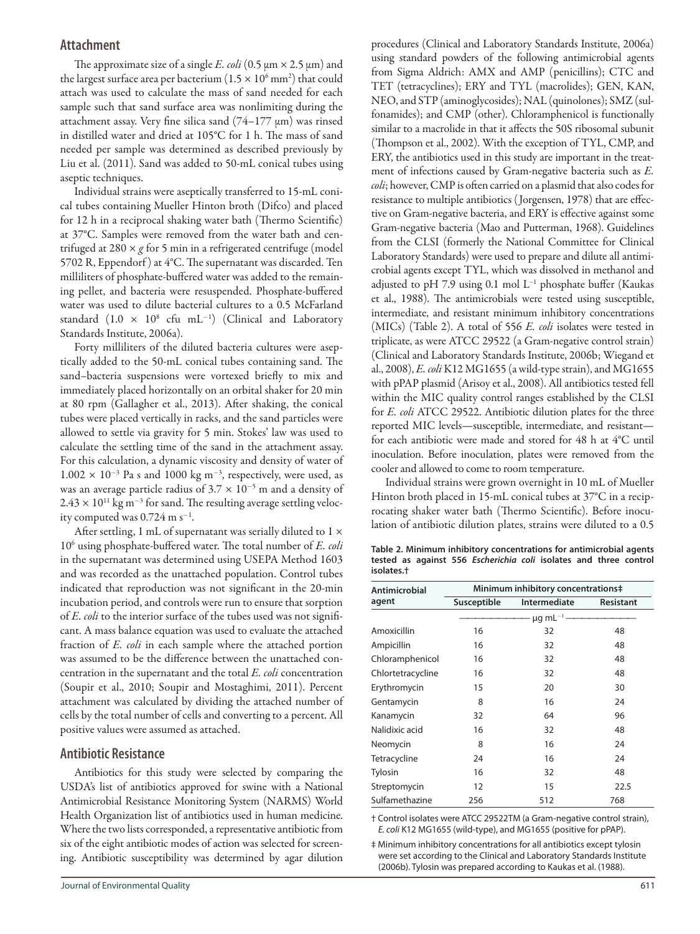## **Attachment**

The approximate size of a single *E. coli* (0.5  $\mu$ m  $\times$  2.5  $\mu$ m) and the largest surface area per bacterium  $(1.5 \times 10^6 \,\text{mm}^2)$  that could attach was used to calculate the mass of sand needed for each sample such that sand surface area was nonlimiting during the attachment assay. Very fine silica sand  $(74-177 \mu m)$  was rinsed in distilled water and dried at 105°C for 1 h. The mass of sand needed per sample was determined as described previously by Liu et al. (2011). Sand was added to 50-mL conical tubes using aseptic techniques.

Individual strains were aseptically transferred to 15-mL conical tubes containing Mueller Hinton broth (Difco) and placed for 12 h in a reciprocal shaking water bath (Thermo Scientific) at 37°C. Samples were removed from the water bath and centrifuged at 280  $\times$  g for 5 min in a refrigerated centrifuge (model 5702 R, Eppendorf ) at 4°C. The supernatant was discarded. Ten milliliters of phosphate-buffered water was added to the remaining pellet, and bacteria were resuspended. Phosphate-buffered water was used to dilute bacterial cultures to a 0.5 McFarland standard  $(1.0 \times 10^8 \text{ cfu } \text{mL}^{-1})$  (Clinical and Laboratory Standards Institute, 2006a).

Forty milliliters of the diluted bacteria cultures were aseptically added to the 50-mL conical tubes containing sand. The sand–bacteria suspensions were vortexed briefly to mix and immediately placed horizontally on an orbital shaker for 20 min at 80 rpm (Gallagher et al., 2013). After shaking, the conical tubes were placed vertically in racks, and the sand particles were allowed to settle via gravity for 5 min. Stokes' law was used to calculate the settling time of the sand in the attachment assay. For this calculation, a dynamic viscosity and density of water of  $1.002 \times 10^{-3}$  Pa s and 1000 kg m<sup>-3</sup>, respectively, were used, as was an average particle radius of  $3.7 \times 10^{-5}$  m and a density of  $2.43 \times 10^{11}$  kg m<sup>-3</sup> for sand. The resulting average settling velocity computed was  $0.724$  m s<sup>-1</sup>.

After settling, 1 mL of supernatant was serially diluted to 1  $\times$ 106 using phosphate-buffered water. The total number of *E. coli* in the supernatant was determined using USEPA Method 1603 and was recorded as the unattached population. Control tubes indicated that reproduction was not significant in the 20-min incubation period, and controls were run to ensure that sorption of *E. coli* to the interior surface of the tubes used was not significant. A mass balance equation was used to evaluate the attached fraction of *E. coli* in each sample where the attached portion was assumed to be the difference between the unattached concentration in the supernatant and the total *E. coli* concentration (Soupir et al., 2010; Soupir and Mostaghimi, 2011). Percent attachment was calculated by dividing the attached number of cells by the total number of cells and converting to a percent. All positive values were assumed as attached.

## **Antibiotic Resistance**

Antibiotics for this study were selected by comparing the USDA's list of antibiotics approved for swine with a National Antimicrobial Resistance Monitoring System (NARMS) World Health Organization list of antibiotics used in human medicine. Where the two lists corresponded, a representative antibiotic from six of the eight antibiotic modes of action was selected for screening. Antibiotic susceptibility was determined by agar dilution procedures (Clinical and Laboratory Standards Institute, 2006a) using standard powders of the following antimicrobial agents from Sigma Aldrich: AMX and AMP (penicillins); CTC and TET (tetracyclines); ERY and TYL (macrolides); GEN, KAN, NEO, and STP (aminoglycosides); NAL (quinolones); SMZ (sulfonamides); and CMP (other). Chloramphenicol is functionally similar to a macrolide in that it affects the 50S ribosomal subunit (Thompson et al., 2002). With the exception of TYL, CMP, and ERY, the antibiotics used in this study are important in the treatment of infections caused by Gram-negative bacteria such as *E. coli*; however, CMP is often carried on a plasmid that also codes for resistance to multiple antibiotics (Jorgensen, 1978) that are effective on Gram-negative bacteria, and ERY is effective against some Gram-negative bacteria (Mao and Putterman, 1968). Guidelines from the CLSI (formerly the National Committee for Clinical Laboratory Standards) were used to prepare and dilute all antimicrobial agents except TYL, which was dissolved in methanol and adjusted to pH 7.9 using 0.1 mol L<sup>-1</sup> phosphate buffer (Kaukas et al., 1988). The antimicrobials were tested using susceptible, intermediate, and resistant minimum inhibitory concentrations (MICs) (Table 2). A total of 556 *E. coli* isolates were tested in triplicate, as were ATCC 29522 (a Gram-negative control strain) (Clinical and Laboratory Standards Institute, 2006b; Wiegand et al., 2008), *E. coli* K12 MG1655 (a wild-type strain), and MG1655 with pPAP plasmid (Arisoy et al., 2008). All antibiotics tested fell within the MIC quality control ranges established by the CLSI for *E. coli* ATCC 29522. Antibiotic dilution plates for the three reported MIC levels—susceptible, intermediate, and resistant for each antibiotic were made and stored for 48 h at 4°C until inoculation. Before inoculation, plates were removed from the cooler and allowed to come to room temperature.

Individual strains were grown overnight in 10 mL of Mueller Hinton broth placed in 15-mL conical tubes at 37°C in a reciprocating shaker water bath (Thermo Scientific). Before inoculation of antibiotic dilution plates, strains were diluted to a 0.5

**Table 2. Minimum inhibitory concentrations for antimicrobial agents tested as against 556** *Escherichia coli* **isolates and three control isolates.†**

| Antimicrobial     |             | Minimum inhibitory concentrations‡ |           |
|-------------------|-------------|------------------------------------|-----------|
| agent             | Susceptible | Intermediate                       | Resistant |
|                   |             | $\mu$ g mL <sup>-1</sup>           |           |
| Amoxicillin       | 16          | 32                                 | 48        |
| Ampicillin        | 16          | 32                                 | 48        |
| Chloramphenicol   | 16          | 32                                 | 48        |
| Chlortetracycline | 16          | 32                                 | 48        |
| Erythromycin      | 15          | 20                                 | 30        |
| Gentamycin        | 8           | 16                                 | 24        |
| Kanamycin         | 32          | 64                                 | 96        |
| Nalidixic acid    | 16          | 32                                 | 48        |
| Neomycin          | 8           | 16                                 | 24        |
| Tetracycline      | 24          | 16                                 | 24        |
| Tylosin           | 16          | 32                                 | 48        |
| Streptomycin      | 12          | 15                                 | 22.5      |
| Sulfamethazine    | 256         | 512                                | 768       |

† Control isolates were ATCC 29522TM (a Gram-negative control strain), *E. coli* K12 MG1655 (wild-type), and MG1655 (positive for pPAP).

‡ Minimum inhibitory concentrations for all antibiotics except tylosin were set according to the Clinical and Laboratory Standards Institute (2006b). Tylosin was prepared according to Kaukas et al. (1988).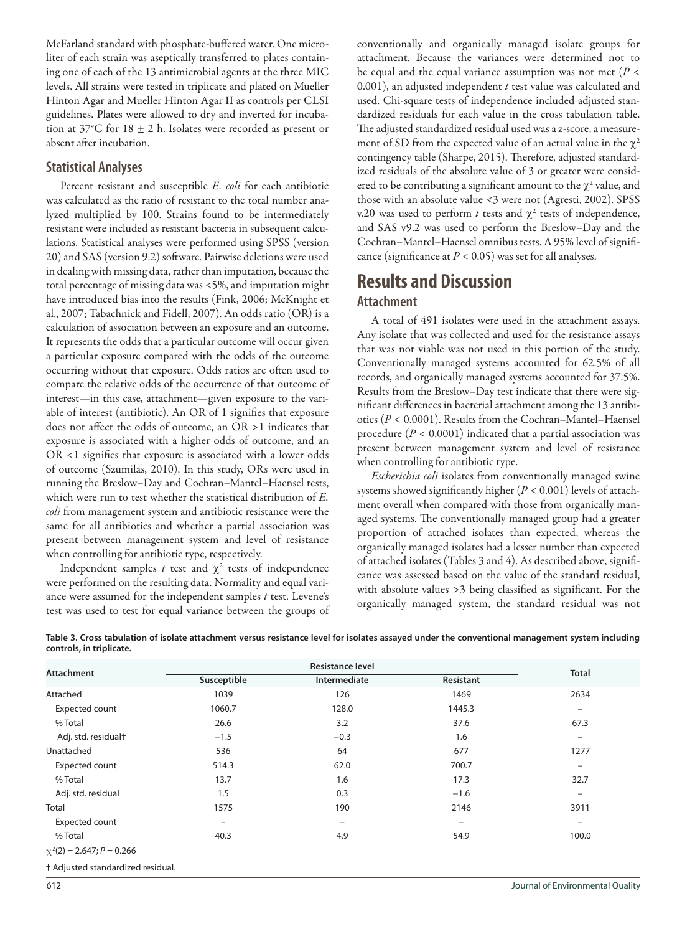McFarland standard with phosphate-buffered water. One microliter of each strain was aseptically transferred to plates containing one of each of the 13 antimicrobial agents at the three MIC levels. All strains were tested in triplicate and plated on Mueller Hinton Agar and Mueller Hinton Agar II as controls per CLSI guidelines. Plates were allowed to dry and inverted for incubation at 37°C for  $18 \pm 2$  h. Isolates were recorded as present or absent after incubation.

## **Statistical Analyses**

Percent resistant and susceptible *E. coli* for each antibiotic was calculated as the ratio of resistant to the total number analyzed multiplied by 100. Strains found to be intermediately resistant were included as resistant bacteria in subsequent calculations. Statistical analyses were performed using SPSS (version 20) and SAS (version 9.2) software. Pairwise deletions were used in dealing with missing data, rather than imputation, because the total percentage of missing data was <5%, and imputation might have introduced bias into the results (Fink, 2006; McKnight et al., 2007; Tabachnick and Fidell, 2007). An odds ratio (OR) is a calculation of association between an exposure and an outcome. It represents the odds that a particular outcome will occur given a particular exposure compared with the odds of the outcome occurring without that exposure. Odds ratios are often used to compare the relative odds of the occurrence of that outcome of interest—in this case, attachment—given exposure to the variable of interest (antibiotic). An OR of 1 signifies that exposure does not affect the odds of outcome, an OR >1 indicates that exposure is associated with a higher odds of outcome, and an OR <1 signifies that exposure is associated with a lower odds of outcome (Szumilas, 2010). In this study, ORs were used in running the Breslow–Day and Cochran–Mantel–Haensel tests, which were run to test whether the statistical distribution of *E. coli* from management system and antibiotic resistance were the same for all antibiotics and whether a partial association was present between management system and level of resistance when controlling for antibiotic type, respectively.

Independent samples  $t$  test and  $\chi^2$  tests of independence were performed on the resulting data. Normality and equal variance were assumed for the independent samples *t* test. Levene's test was used to test for equal variance between the groups of conventionally and organically managed isolate groups for attachment. Because the variances were determined not to be equal and the equal variance assumption was not met (*P* < 0.001), an adjusted independent *t* test value was calculated and used. Chi-square tests of independence included adjusted standardized residuals for each value in the cross tabulation table. The adjusted standardized residual used was a z-score, a measurement of SD from the expected value of an actual value in the  $\chi^2$ contingency table (Sharpe, 2015). Therefore, adjusted standardized residuals of the absolute value of 3 or greater were considered to be contributing a significant amount to the  $\chi^2$  value, and those with an absolute value <3 were not (Agresti, 2002). SPSS v.20 was used to perform  $t$  tests and  $\chi^2$  tests of independence, and SAS v9.2 was used to perform the Breslow–Day and the Cochran–Mantel–Haensel omnibus tests. A 95% level of significance (significance at  $P < 0.05$ ) was set for all analyses.

## **Results and Discussion Attachment**

A total of 491 isolates were used in the attachment assays. Any isolate that was collected and used for the resistance assays that was not viable was not used in this portion of the study. Conventionally managed systems accounted for 62.5% of all records, and organically managed systems accounted for 37.5%. Results from the Breslow–Day test indicate that there were significant differences in bacterial attachment among the 13 antibiotics (*P* < 0.0001). Results from the Cochran–Mantel–Haensel procedure (*P* < 0.0001) indicated that a partial association was present between management system and level of resistance when controlling for antibiotic type.

*Escherichia coli* isolates from conventionally managed swine systems showed significantly higher (*P* < 0.001) levels of attachment overall when compared with those from organically managed systems. The conventionally managed group had a greater proportion of attached isolates than expected, whereas the organically managed isolates had a lesser number than expected of attached isolates (Tables 3 and 4). As described above, significance was assessed based on the value of the standard residual, with absolute values >3 being classified as significant. For the organically managed system, the standard residual was not

| Table 3. Cross tabulation of isolate attachment versus resistance level for isolates assayed under the conventional management system including |  |
|-------------------------------------------------------------------------------------------------------------------------------------------------|--|
| controls, in triplicate.                                                                                                                        |  |

|                                 |                          | <b>Resistance level</b> |                   |                          |
|---------------------------------|--------------------------|-------------------------|-------------------|--------------------------|
| <b>Attachment</b>               | Susceptible              | Intermediate            | Resistant         | <b>Total</b>             |
| Attached                        | 1039                     | 126                     | 1469              | 2634                     |
| Expected count                  | 1060.7                   | 128.0                   | 1445.3            | $\qquad \qquad -$        |
| % Total                         | 26.6                     | 3.2                     | 37.6              | 67.3                     |
| Adj. std. residual <sup>+</sup> | $-1.5$                   | $-0.3$                  | 1.6               | $\qquad \qquad -$        |
| Unattached                      | 536                      | 64                      | 677               | 1277                     |
| Expected count                  | 514.3                    | 62.0                    | 700.7             | $\qquad \qquad -$        |
| % Total                         | 13.7                     | 1.6                     | 17.3              | 32.7                     |
| Adj. std. residual              | 1.5                      | 0.3                     | $-1.6$            | $\qquad \qquad -$        |
| Total                           | 1575                     | 190                     | 2146              | 3911                     |
| Expected count                  | $\overline{\phantom{m}}$ | $\qquad \qquad$         | $\qquad \qquad -$ | $\overline{\phantom{0}}$ |
| % Total                         | 40.3                     | 4.9                     | 54.9              | 100.0                    |
| $\chi^2(2) = 2.647; P = 0.266$  |                          |                         |                   |                          |

† Adjusted standardized residual.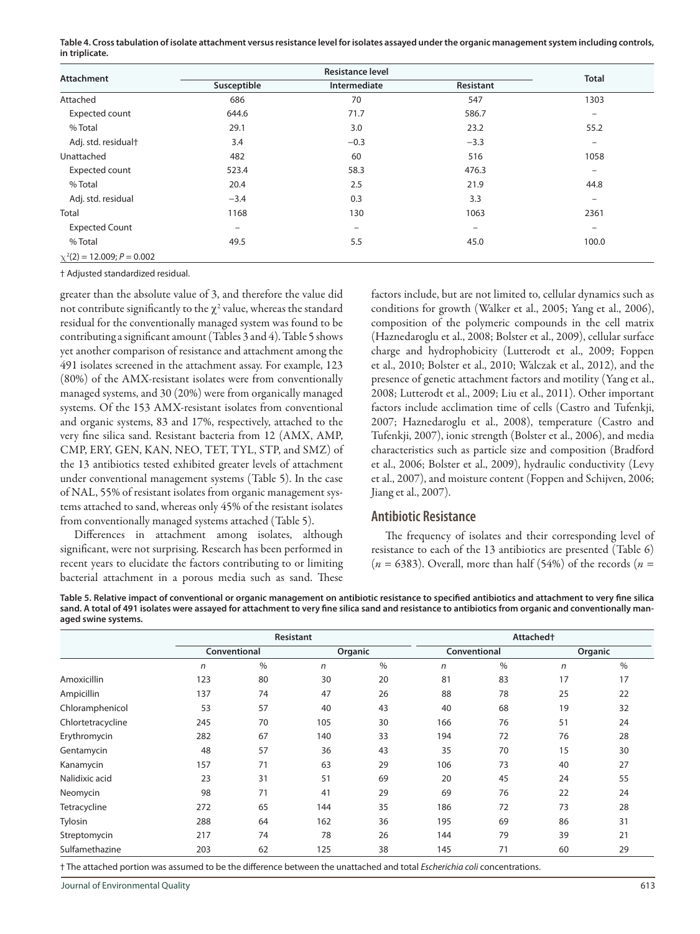**Table 4. Cross tabulation of isolate attachment versus resistance level for isolates assayed under the organic management system including controls, in triplicate.**

| <b>Attachment</b>               |                          | <b>Resistance level</b> |                   |                              |
|---------------------------------|--------------------------|-------------------------|-------------------|------------------------------|
|                                 | Susceptible              | Intermediate            | Resistant         | <b>Total</b>                 |
| Attached                        | 686                      | 70                      | 547               | 1303                         |
| Expected count                  | 644.6                    | 71.7                    | 586.7             | $\overline{\phantom{m}}$     |
| % Total                         | 29.1                     | 3.0                     | 23.2              | 55.2                         |
| Adj. std. residualt             | 3.4                      | $-0.3$                  | $-3.3$            | $\qquad \qquad \blacksquare$ |
| Unattached                      | 482                      | 60                      | 516               | 1058                         |
| Expected count                  | 523.4                    | 58.3                    | 476.3             | $\overline{\phantom{m}}$     |
| % Total                         | 20.4                     | 2.5                     | 21.9              | 44.8                         |
| Adj. std. residual              | $-3.4$                   | 0.3                     | 3.3               | $\qquad \qquad -$            |
| Total                           | 1168                     | 130                     | 1063              | 2361                         |
| <b>Expected Count</b>           | $\overline{\phantom{m}}$ | $\qquad \qquad -$       | $\qquad \qquad -$ | $\overline{\phantom{m}}$     |
| % Total                         | 49.5                     | 5.5                     | 45.0              | 100.0                        |
| $\chi^2(2) = 12.009; P = 0.002$ |                          |                         |                   |                              |

† Adjusted standardized residual.

greater than the absolute value of 3, and therefore the value did not contribute significantly to the  $\chi^2$  value, whereas the standard residual for the conventionally managed system was found to be contributing a significant amount (Tables 3 and 4). Table 5 shows yet another comparison of resistance and attachment among the 491 isolates screened in the attachment assay. For example, 123 (80%) of the AMX-resistant isolates were from conventionally managed systems, and 30 (20%) were from organically managed systems. Of the 153 AMX-resistant isolates from conventional and organic systems, 83 and 17%, respectively, attached to the very fine silica sand. Resistant bacteria from 12 (AMX, AMP, CMP, ERY, GEN, KAN, NEO, TET, TYL, STP, and SMZ) of the 13 antibiotics tested exhibited greater levels of attachment under conventional management systems (Table 5). In the case of NAL, 55% of resistant isolates from organic management systems attached to sand, whereas only 45% of the resistant isolates from conventionally managed systems attached (Table 5).

Differences in attachment among isolates, although significant, were not surprising. Research has been performed in recent years to elucidate the factors contributing to or limiting bacterial attachment in a porous media such as sand. These

factors include, but are not limited to, cellular dynamics such as conditions for growth (Walker et al., 2005; Yang et al., 2006), composition of the polymeric compounds in the cell matrix (Haznedaroglu et al., 2008; Bolster et al., 2009), cellular surface charge and hydrophobicity (Lutterodt et al., 2009; Foppen et al., 2010; Bolster et al., 2010; Walczak et al., 2012), and the presence of genetic attachment factors and motility (Yang et al., 2008; Lutterodt et al., 2009; Liu et al., 2011). Other important factors include acclimation time of cells (Castro and Tufenkji, 2007; Haznedaroglu et al., 2008), temperature (Castro and Tufenkji, 2007), ionic strength (Bolster et al., 2006), and media characteristics such as particle size and composition (Bradford et al., 2006; Bolster et al., 2009), hydraulic conductivity (Levy et al., 2007), and moisture content (Foppen and Schijven, 2006; Jiang et al., 2007).

### **Antibiotic Resistance**

The frequency of isolates and their corresponding level of resistance to each of the 13 antibiotics are presented (Table 6) (*n* = 6383). Overall, more than half (54%) of the records (*n* =

**Table 5. Relative impact of conventional or organic management on antibiotic resistance to specified antibiotics and attachment to very fine silica sand. A total of 491 isolates were assayed for attachment to very fine silica sand and resistance to antibiotics from organic and conventionally managed swine systems.**

|                   |              |                | Resistant    |         |              |    | Attached <sup>+</sup> |         |
|-------------------|--------------|----------------|--------------|---------|--------------|----|-----------------------|---------|
|                   | Conventional |                |              | Organic | Conventional |    |                       | Organic |
|                   | n            | $\%$           | $\mathsf{n}$ | $\%$    | n            | %  | $\mathsf{n}$          | $\%$    |
| Amoxicillin       | 123          | 80             | 30           | 20      | 81           | 83 | 17                    | 17      |
| Ampicillin        | 137          | 74             | 47           | 26      | 88           | 78 | 25                    | 22      |
| Chloramphenicol   | 53           | 57             | 40           | 43      | 40           | 68 | 19                    | 32      |
| Chlortetracycline | 245          | 70             | 105          | 30      | 166          | 76 | 51                    | 24      |
| Erythromycin      | 282          | 67             | 140          | 33      | 194          | 72 | 76                    | 28      |
| Gentamycin        | 48           | 57             | 36           | 43      | 35           | 70 | 15                    | 30      |
| Kanamycin         | 157          | 71             | 63           | 29      | 106          | 73 | 40                    | 27      |
| Nalidixic acid    | 23           | 31             | 51<br>69     | 20      | 45           | 24 | 55                    |         |
| Neomycin          | 98           | 71<br>41<br>29 | 69<br>76     |         | 22<br>24     |    |                       |         |
| Tetracycline      | 272          | 65             | 144          | 35      | 186          | 72 | 73                    | 28      |
| Tylosin           | 288          | 64             | 162          | 36      | 195          | 69 | 86                    | 31      |
| Streptomycin      | 217          | 74             | 78           | 26      | 144          | 79 | 39                    | 21      |
| Sulfamethazine    | 203          | 62             | 125          | 38      | 145          | 71 | 60                    | 29      |

† The attached portion was assumed to be the difference between the unattached and total *Escherichia coli* concentrations.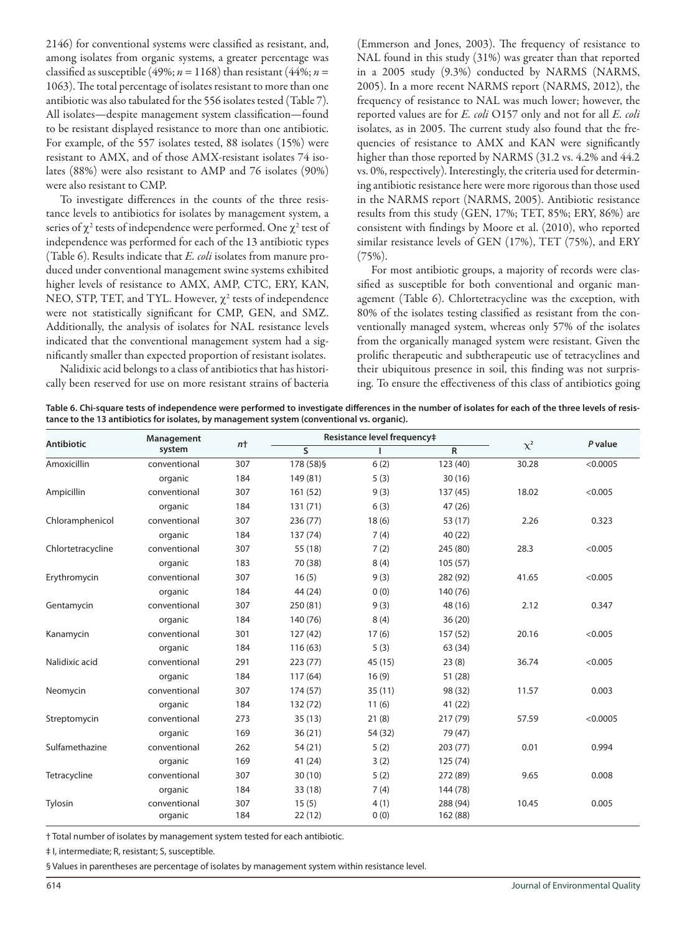2146) for conventional systems were classified as resistant, and, among isolates from organic systems, a greater percentage was classified as susceptible (49%;  $n = 1168$ ) than resistant (44%;  $n =$ 1063). The total percentage of isolates resistant to more than one antibiotic was also tabulated for the 556 isolates tested (Table 7). All isolates—despite management system classification—found to be resistant displayed resistance to more than one antibiotic. For example, of the 557 isolates tested, 88 isolates (15%) were resistant to AMX, and of those AMX-resistant isolates 74 isolates (88%) were also resistant to AMP and 76 isolates (90%) were also resistant to CMP.

To investigate differences in the counts of the three resistance levels to antibiotics for isolates by management system, a series of  $\chi^2$  tests of independence were performed. One  $\chi^2$  test of independence was performed for each of the 13 antibiotic types (Table 6). Results indicate that *E. coli* isolates from manure produced under conventional management swine systems exhibited higher levels of resistance to AMX, AMP, CTC, ERY, KAN, NEO, STP, TET, and TYL. However,  $\chi^2$  tests of independence were not statistically significant for CMP, GEN, and SMZ. Additionally, the analysis of isolates for NAL resistance levels indicated that the conventional management system had a significantly smaller than expected proportion of resistant isolates.

Nalidixic acid belongs to a class of antibiotics that has historically been reserved for use on more resistant strains of bacteria (Emmerson and Jones, 2003). The frequency of resistance to NAL found in this study (31%) was greater than that reported in a 2005 study (9.3%) conducted by NARMS (NARMS, 2005). In a more recent NARMS report (NARMS, 2012), the frequency of resistance to NAL was much lower; however, the reported values are for *E. coli* O157 only and not for all *E. coli* isolates, as in 2005. The current study also found that the frequencies of resistance to AMX and KAN were significantly higher than those reported by NARMS (31.2 vs. 4.2% and 44.2 vs. 0%, respectively). Interestingly, the criteria used for determining antibiotic resistance here were more rigorous than those used in the NARMS report (NARMS, 2005). Antibiotic resistance results from this study (GEN, 17%; TET, 85%; ERY, 86%) are consistent with findings by Moore et al. (2010), who reported similar resistance levels of GEN (17%), TET (75%), and ERY (75%).

For most antibiotic groups, a majority of records were classified as susceptible for both conventional and organic management (Table 6). Chlortetracycline was the exception, with 80% of the isolates testing classified as resistant from the conventionally managed system, whereas only 57% of the isolates from the organically managed system were resistant. Given the prolific therapeutic and subtherapeutic use of tetracyclines and their ubiquitous presence in soil, this finding was not surprising. To ensure the effectiveness of this class of antibiotics going

**Table 6. Chi-square tests of independence were performed to investigate differences in the number of isolates for each of the three levels of resistance to the 13 antibiotics for isolates, by management system (conventional vs. organic).** 

| <b>Antibiotic</b> | Management              | $n+$       |                         | Resistance level frequency‡ |                      |          | P value  |
|-------------------|-------------------------|------------|-------------------------|-----------------------------|----------------------|----------|----------|
|                   | system                  |            | $\overline{\mathsf{s}}$ | L                           | $\mathsf{R}$         | $\chi^2$ |          |
| Amoxicillin       | conventional            | 307        | 178 (58) §              | 6(2)                        | 123 (40)             | 30.28    | < 0.0005 |
|                   | organic                 | 184        | 149 (81)                | 5(3)                        | 30(16)               |          |          |
| Ampicillin        | conventional            | 307        | 161(52)                 | 9(3)                        | 137 (45)             | 18.02    | < 0.005  |
|                   | organic                 | 184        | 131(71)                 | 6(3)                        | 47 (26)              |          |          |
| Chloramphenicol   | conventional            | 307        | 236 (77)                | 18(6)                       | 53 (17)              | 2.26     | 0.323    |
|                   | organic                 | 184        | 137 (74)                | 7(4)                        | 40(22)               |          |          |
| Chlortetracycline | conventional            | 307        | 55 (18)                 | 7(2)                        | 245 (80)             | 28.3     | < 0.005  |
|                   | organic                 | 183        | 70 (38)                 | 8(4)                        | 105(57)              |          |          |
| Erythromycin      | conventional            | 307        | 16(5)                   | 9(3)                        | 282 (92)             | 41.65    | < 0.005  |
|                   | organic                 | 184        | 44 (24)                 | 0(0)                        | 140 (76)             |          |          |
| Gentamycin        | conventional            | 307        | 250 (81)                | 9(3)                        | 48 (16)              | 2.12     | 0.347    |
|                   | organic                 | 184        | 140 (76)                | 8(4)                        | 36(20)               |          |          |
| Kanamycin         | conventional            | 301        | 127(42)                 | 17(6)                       | 157(52)              | 20.16    | < 0.005  |
|                   | organic                 | 184        | 116(63)                 | 5(3)                        | 63 (34)              |          |          |
| Nalidixic acid    | conventional            | 291        | 223(77)                 | 45 (15)                     | 23(8)                | 36.74    | < 0.005  |
|                   | organic                 | 184        | 117(64)                 | 16(9)                       | 51 (28)              |          |          |
| Neomycin          | conventional            | 307        | 174 (57)                | 35(11)                      | 98 (32)              | 11.57    | 0.003    |
|                   | organic                 | 184        | 132 (72)                | 11(6)                       | 41 (22)              |          |          |
| Streptomycin      | conventional            | 273        | 35(13)                  | 21(8)                       | 217 (79)             | 57.59    | < 0.0005 |
|                   | organic                 | 169        | 36(21)                  | 54 (32)                     | 79 (47)              |          |          |
| Sulfamethazine    | conventional            | 262        | 54 (21)                 | 5(2)                        | 203(77)              | 0.01     | 0.994    |
|                   | organic                 | 169        | 41 (24)                 | 3(2)                        | 125 (74)             |          |          |
| Tetracycline      | conventional            | 307        | 30(10)                  | 5(2)                        | 272 (89)             | 9.65     | 0.008    |
|                   | organic                 | 184        | 33 (18)                 | 7(4)                        | 144 (78)             |          |          |
| Tylosin           | conventional<br>organic | 307<br>184 | 15(5)<br>22(12)         | 4(1)<br>0(0)                | 288 (94)<br>162 (88) | 10.45    | 0.005    |

† Total number of isolates by management system tested for each antibiotic.

‡ I, intermediate; R, resistant; S, susceptible.

§ Values in parentheses are percentage of isolates by management system within resistance level.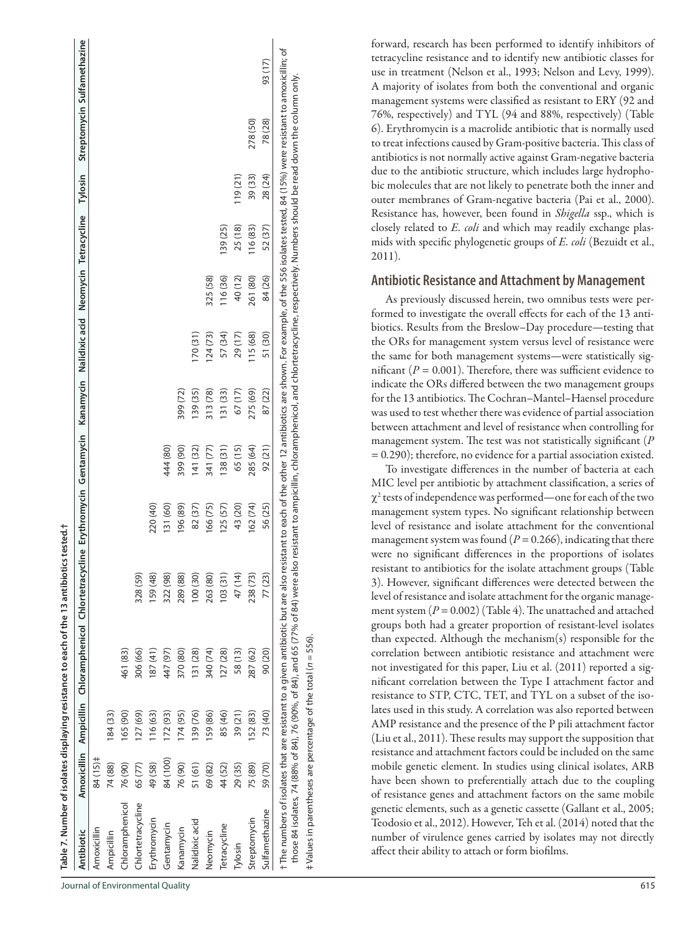|                                                                    |           |             | Table 7. Number of isolates displaying resistance to each of the 13 antibiotics tested.†                                        |          |          |          |          |         |          |          |         |                                                                                                                                                                                                                                                                                                                                                                                                                                             |         |
|--------------------------------------------------------------------|-----------|-------------|---------------------------------------------------------------------------------------------------------------------------------|----------|----------|----------|----------|---------|----------|----------|---------|---------------------------------------------------------------------------------------------------------------------------------------------------------------------------------------------------------------------------------------------------------------------------------------------------------------------------------------------------------------------------------------------------------------------------------------------|---------|
| Antibiotic                                                         |           |             | Amoxicillin Ampicillin Chloramphenicol Chlortetracycline Erythromycin Gentamycin Kanamycin Nalidixic acid Neomycin Tetracycline |          |          |          |          |         |          |          | Tylosin | Streptomycin Sulfamethazine                                                                                                                                                                                                                                                                                                                                                                                                                 |         |
| Amoxicillin                                                        | 84 (15) ‡ |             |                                                                                                                                 |          |          |          |          |         |          |          |         |                                                                                                                                                                                                                                                                                                                                                                                                                                             |         |
| Ampicillin                                                         | 74 (88)   | 184 (33)    |                                                                                                                                 |          |          |          |          |         |          |          |         |                                                                                                                                                                                                                                                                                                                                                                                                                                             |         |
| Chloramphenicol                                                    | 76 (90)   | 65 (90)     | 461 (83)                                                                                                                        |          |          |          |          |         |          |          |         |                                                                                                                                                                                                                                                                                                                                                                                                                                             |         |
| Chlortetracycline                                                  | 65 (77)   | $(59)$ (27) | 306 (66)                                                                                                                        | 328 (59) |          |          |          |         |          |          |         |                                                                                                                                                                                                                                                                                                                                                                                                                                             |         |
| Erythromycin                                                       | 49 (58)   | 16(63)      | (41)                                                                                                                            | 159 (48) | 220 (40) |          |          |         |          |          |         |                                                                                                                                                                                                                                                                                                                                                                                                                                             |         |
| Gentamycin                                                         | 84 (100)  | 172 (93)    | 447 (97)                                                                                                                        | 322 (98) | 131 (60) | 444 (80) |          |         |          |          |         |                                                                                                                                                                                                                                                                                                                                                                                                                                             |         |
| Kanamycin                                                          | 76 (90)   | 174(95)     | 370 (80)                                                                                                                        | 289 (88) | 196 (89) | 399 (90) | 399 (72) |         |          |          |         |                                                                                                                                                                                                                                                                                                                                                                                                                                             |         |
| Nalidixic acid                                                     | 51 (61)   | 39 (76)     | 131 (28)                                                                                                                        | 100(30)  | 82 (37)  | (32)     | 139 (35) | (31)    |          |          |         |                                                                                                                                                                                                                                                                                                                                                                                                                                             |         |
| Neomycin                                                           | 69 (82)   | 59 (86)     | 340 (74)                                                                                                                        | 263 (80) | 166 (75) | 341 (77) | 313 (78) | 124(73) | 325 (58) |          |         |                                                                                                                                                                                                                                                                                                                                                                                                                                             |         |
| Tetracycline                                                       | 44 (52)   | 85 (46)     | 127 (28)                                                                                                                        | 103(31)  | 125(57)  | 138(31)  | 31(33)   | 57 (34) | 116(36)  | 139 (25) |         |                                                                                                                                                                                                                                                                                                                                                                                                                                             |         |
| Tylosin                                                            | 29 (35)   | 39(21)      | 58(13)                                                                                                                          | 47 (14)  | 43 (20)  | 65 (15)  | 67(17)   | 29(17)  | 40 (12)  | 25 (18)  | 119(21) |                                                                                                                                                                                                                                                                                                                                                                                                                                             |         |
| Streptomycin                                                       | 75 (89)   | 152 (83)    | 287 (62)                                                                                                                        | 238 (73) | 162 (74) | 285 (64) | 275 (69) | 115(68) | 261 (80) | 116 (83) | 39 (33) | 278 (50)                                                                                                                                                                                                                                                                                                                                                                                                                                    |         |
| Sulfamethazine                                                     | 59 (70)   | 73 (40)     | 90 (20)                                                                                                                         | 77 (23)  | 56 (25)  | 92(21)   | 87 (22)  | 51 (30) | 84 (26)  | 52 (37)  | 28 (24) | 78 (28)                                                                                                                                                                                                                                                                                                                                                                                                                                     | 93 (17) |
|                                                                    |           |             |                                                                                                                                 |          |          |          |          |         |          |          |         | †The numbers of isolates that are resistant to a given antibiotic but are also resistant to each of the other 12 antibiotics are shown. For example, of the 556 isolates tested, 84 (15%) were resistant to amoxicillin; of<br>those 84 isolates, 74 (88% of 84), 76 (90%, of 84), and 65 (77% of 84) were also resistant to ampicillin, chloramphenicol, and chlortetracycline, respectively. Numbers should be read down the column only. |         |
| # Values in parentheses are percentage of the total ( $n = 556$ ). |           |             |                                                                                                                                 |          |          |          |          |         |          |          |         |                                                                                                                                                                                                                                                                                                                                                                                                                                             |         |

forward, research has been performed to identify inhibitors of tetracycline resistance and to identify new antibiotic classes for use in treatment (Nelson et al., 1993; Nelson and Levy, 1999). A majority of isolates from both the conventional and organic management systems were classified as resistant to ERY (92 and 76%, respectively) and TYL (94 and 88%, respectively) (Table 6). Erythromycin is a macrolide antibiotic that is normally used to treat infections caused by Gram-positive bacteria. This class of antibiotics is not normally active against Gram-negative bacteria due to the antibiotic structure, which includes large hydrophobic molecules that are not likely to penetrate both the inner and outer membranes of Gram-negative bacteria (Pai et al., 2000). Resistance has, however, been found in *Shigella* ssp., which is closely related to *E. coli* and which may readily exchange plasmids with specific phylogenetic groups of *E. coli* (Bezuidt et al., 2011).

#### **Antibiotic Resistance and Attachment by Management**

As previously discussed herein, two omnibus tests were performed to investigate the overall effects for each of the 13 antibiotics. Results from the Breslow–Day procedure—testing that the ORs for management system versus level of resistance were the same for both management systems—were statistically significant ( $P = 0.001$ ). Therefore, there was sufficient evidence to indicate the ORs differed between the two management groups for the 13 antibiotics. The Cochran–Mantel–Haensel procedure was used to test whether there was evidence of partial association between attachment and level of resistance when controlling for management system. The test was not statistically significant (*P* = 0*.*290); therefore, no evidence for a partial association existed.

To investigate differences in the number of bacteria at each MIC level per antibiotic by attachment classification, a series of  $\chi^2$  tests of independence was performed—one for each of the two management system types. No significant relationship between level of resistance and isolate attachment for the conventional management system was found  $(P = 0.266)$ , indicating that there were no significant differences in the proportions of isolates resistant to antibiotics for the isolate attachment groups (Table 3). However, significant differences were detected between the level of resistance and isolate attachment for the organic management system  $(P = 0.002)$  (Table 4). The unattached and attached groups both had a greater proportion of resistant-level isolates than expected. Although the mechanism(s) responsible for the correlation between antibiotic resistance and attachment were not investigated for this paper, Liu et al. (2011) reported a significant correlation between the Type I attachment factor and resistance to STP, CTC, TET, and TYL on a subset of the isolates used in this study. A correlation was also reported between AMP resistance and the presence of the P pili attachment factor (Liu et al., 2011). These results may support the supposition that resistance and attachment factors could be included on the same mobile genetic element. In studies using clinical isolates, ARB have been shown to preferentially attach due to the coupling of resistance genes and attachment factors on the same mobile genetic elements, such as a genetic cassette (Gallant et al., 2005; Teodosio et al., 2012). However, Teh et al. (2014) noted that the number of virulence genes carried by isolates may not directly affect their ability to attach or form biofilms.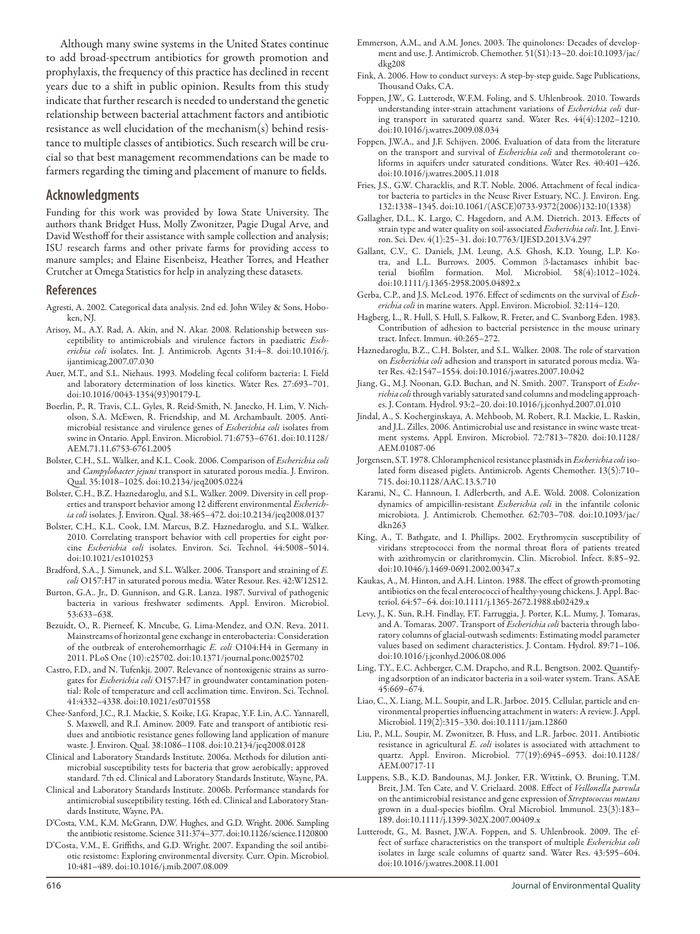Although many swine systems in the United States continue to add broad-spectrum antibiotics for growth promotion and prophylaxis, the frequency of this practice has declined in recent years due to a shift in public opinion. Results from this study indicate that further research is needed to understand the genetic relationship between bacterial attachment factors and antibiotic resistance as well elucidation of the mechanism(s) behind resistance to multiple classes of antibiotics. Such research will be crucial so that best management recommendations can be made to farmers regarding the timing and placement of manure to fields.

### **Acknowledgments**

Funding for this work was provided by Iowa State University. The authors thank Bridget Huss, Molly Zwonitzer, Pagie Dugal Arve, and David Westhoff for their assistance with sample collection and analysis; ISU research farms and other private farms for providing access to manure samples; and Elaine Eisenbeisz, Heather Torres, and Heather Crutcher at Omega Statistics for help in analyzing these datasets.

#### **References**

- Agresti, A. 2002. Categorical data analysis. 2nd ed. John Wiley & Sons, Hoboken, NJ.
- Arisoy, M., A.Y. Rad, A. Akin, and N. Akar. 2008. Relationship between susceptibility to antimicrobials and virulence factors in paediatric *Escherichia coli* isolates. Int. J. Antimicrob. Agents 31:4–8. [doi:10.1016/j.](http://dx.doi.org/10.1016/j.ijantimicag.2007.07.030) [ijantimicag.2007.07.030](http://dx.doi.org/10.1016/j.ijantimicag.2007.07.030)
- Auer, M.T., and S.L. Niehaus. 1993. Modeling fecal coliform bacteria: I. Field and laboratory determination of loss kinetics. Water Res. 27:693–701. [doi:10.1016/0043-1354\(93\)90179-L](http://dx.doi.org/10.1016/0043-1354(93)90179-L)
- Boerlin, P., R. Travis, C.L. Gyles, R. Reid-Smith, N. Janecko, H. Lim, V. Nicholson, S.A. McEwen, R. Friendship, and M. Archambault. 2005. Antimicrobial resistance and virulence genes of *Escherichia coli* isolates from swine in Ontario. Appl. Environ. Microbiol. 71:6753–6761. [doi:10.1128/](http://dx.doi.org/10.1128/AEM.71.11.6753-6761.2005) [AEM.71.11.6753-6761.2005](http://dx.doi.org/10.1128/AEM.71.11.6753-6761.2005)
- Bolster, C.H., S.L. Walker, and K.L. Cook. 2006. Comparison of *Escherichia coli* and *Campylobacter jejuni* transport in saturated porous media. J. Environ. Qual. 35:1018–1025. [doi:10.2134/jeq2005.0224](http://dx.doi.org/10.2134/jeq2005.0224)
- Bolster, C.H., B.Z. Haznedaroglu, and S.L. Walker. 2009. Diversity in cell properties and transport behavior among 12 different environmental *Escherichia coli* isolates. J. Environ. Qual. 38:465–472. [doi:10.2134/jeq2008.0137](http://dx.doi.org/10.2134/jeq2008.0137)
- Bolster, C.H., K.L. Cook, I.M. Marcus, B.Z. Haznedaroglu, and S.L. Walker. 2010. Correlating transport behavior with cell properties for eight porcine *Escherichia coli* isolates. Environ. Sci. Technol. 44:5008–5014. [doi:10.1021/es1010253](http://dx.doi.org/10.1021/es1010253)
- Bradford, S.A., J. Simunek, and S.L. Walker. 2006. Transport and straining of *E. coli* O157:H7 in saturated porous media. Water Resour. Res. 42:W12S12.
- Burton, G.A.. Jr., D. Gunnison, and G.R. Lanza. 1987. Survival of pathogenic bacteria in various freshwater sediments. Appl. Environ. Microbiol. 53:633–638.
- Bezuidt, O., R. Pierneef, K. Mncube, G. Lima-Mendez, and O.N. Reva. 2011. Mainstreams of horizontal gene exchange in enterobacteria: Consideration of the outbreak of enterohemorrhagic *E. coli* O104:H4 in Germany in 2011. [PLoS One](http://www.ncbi.nlm.nih.gov/pubmed/22022434) (10):e25702. doi:10.1371/journal.pone.0025702
- Castro, F.D., and N. Tufenkji. 2007. Relevance of nontoxigenic strains as surrogates for *Escherichia coli* O157:H7 in groundwater contamination potential: Role of temperature and cell acclimation time. Environ. Sci. Technol. 41:4332–4338. [doi:10.1021/es0701558](http://dx.doi.org/10.1021/es0701558)
- Chee-Sanford, J.C., R.I. Mackie, S. Koike, I.G. Krapac, Y.F. Lin, A.C. Yannarell, S. Maxwell, and R.I. Aminov. 2009. Fate and transport of antibiotic residues and antibiotic resistance genes following land application of manure waste. J. Environ. Qual. 38:1086–1108. [doi:10.2134/jeq2008.0128](http://dx.doi.org/10.2134/jeq2008.0128)
- Clinical and Laboratory Standards Institute. 2006a. Methods for dilution antimicrobial susceptibility tests for bacteria that grow aerobically; approved standard. 7th ed. Clinical and Laboratory Standards Institute, Wayne, PA.
- Clinical and Laboratory Standards Institute. 2006b. Performance standards for antimicrobial susceptibility testing. 16th ed. Clinical and Laboratory Standards Institute, Wayne, PA.
- D'Costa, V.M., K.M. McGrann, D.W. Hughes, and G.D. Wright. 2006. Sampling the antibiotic resistome. Science 311:374–377. [doi:10.1126/science.1120800](http://dx.doi.org/10.1126/science.1120800)
- D'Costa, V.M., E. Griffiths, and G.D. Wright. 2007. Expanding the soil antibiotic resistome: Exploring environmental diversity. Curr. Opin. Microbiol. 10:481–489. [doi:10.1016/j.mib.2007.08.009](http://dx.doi.org/10.1016/j.mib.2007.08.009)
- Emmerson, A.M., and A.M. Jones. 2003. The quinolones: Decades of development and use. J. Antimicrob. Chemother. 51(S1):13–20. [doi:10.1093/jac/](http://dx.doi.org/10.1093/jac/dkg208) [dkg208](http://dx.doi.org/10.1093/jac/dkg208)
- Fink, A. 2006. How to conduct surveys: A step-by-step guide. Sage Publications, Thousand Oaks, CA.
- Foppen, J.W., G. Lutterodt, W.F.M. Foling, and S. Uhlenbrook. 2010. Towards understanding inter-strain attachment variations of *Escherichia coli* during transport in saturated quartz sand. Water Res. 44(4):1202–1210. [doi:10.1016/j.watres.2009.08.034](http://dx.doi.org/10.1016/j.watres.2009.08.034)
- Foppen, J.W.A., and J.F. Schijven. 2006. Evaluation of data from the literature on the transport and survival of *Escherichia coli* and thermotolerant coliforms in aquifers under saturated conditions. Water Res. 40:401–426. [doi:10.1016/j.watres.2005.11.018](http://dx.doi.org/10.1016/j.watres.2005.11.018)
- Fries, J.S., G.W. Characklis, and R.T. Noble. 2006. Attachment of fecal indicator bacteria to particles in the Neuse River Estuary, NC. J. Environ. Eng. 132:1338–1345. [doi:10.1061/\(ASCE\)0733-9372\(2006\)132:10\(1338\)](http://dx.doi.org/10.1061/(ASCE)0733-9372(2006)132%3A10(1338))
- Gallagher, D.L., K. Largo, C. Hagedorn, and A.M. Dietrich. 2013. Effects of strain type and water quality on soil-associated *Escherichia coli*. Int. J. Environ. Sci. Dev. 4(1):25–31. [doi:10.7763/IJESD.2013.V4.297](http://dx.doi.org/10.7763/IJESD.2013.V4.297)
- Gallant, C.V., C. Daniels, J.M. Leung, A.S. Ghosh, K.D. Young, L.P. Kotra, and L.L. Burrows. 2005. Common ß-lactamases inhibit bacterial biofilm formation. Mol. Microbiol. 58(4):1012–1024. [doi:10.1111/j.1365-2958.2005.04892.x](http://dx.doi.org/10.1111/j.1365-2958.2005.04892.x)
- Gerba, C.P., and J.S. McLeod. 1976. Effect of sediments on the survival of *Escherichia coli* in marine waters. Appl. Environ. Microbiol. 32:114–120.
- Hagberg, L., R. Hull, S. Hull, S. Falkow, R. Freter, and C. Svanborg Eden. 1983. Contribution of adhesion to bacterial persistence in the mouse urinary tract. Infect. Immun. 40:265–272.
- Haznedaroglu, B.Z., C.H. Bolster, and S.L. Walker. 2008. The role of starvation on *Escherichia coli* adhesion and transport in saturated porous media. Water Res. 42:1547–1554. [doi:10.1016/j.watres.2007.10.042](http://dx.doi.org/10.1016/j.watres.2007.10.042)
- Jiang, G., M.J. Noonan, G.D. Buchan, and N. Smith. 2007. Transport of *Escherichia coli* through variably saturated sand columns and modeling approaches. J. Contam. Hydrol. 93:2–20. [doi:10.1016/j.jconhyd.2007.01.010](http://dx.doi.org/10.1016/j.jconhyd.2007.01.010)
- Jindal, A., S. Kocherginskaya, A. Mehboob, M. Robert, R.I. Mackie, L. Raskin, and J.L. Zilles. 2006. Antimicrobial use and resistance in swine waste treatment systems. Appl. Environ. Microbiol. 72:7813–7820. [doi:10.1128/](http://dx.doi.org/10.1128/AEM.01087-06) [AEM.01087-06](http://dx.doi.org/10.1128/AEM.01087-06)
- Jorgensen, S.T. 1978. Chloramphenicol resistance plasmids in *Escherichia coli* isolated form diseased piglets. Antimicrob. Agents Chemother. 13(5):710– 715. [doi:10.1128/AAC.13.5.710](http://dx.doi.org/10.1128/AAC.13.5.710)
- Karami, N., C. Hannoun, I. Adlerberth, and A.E. Wold. 2008. Colonization dynamics of ampicillin-resistant *Escherichia coli* in the infantile colonic microbiota. J. Antimicrob. Chemother. 62:703–708. [doi:10.1093/jac/](http://dx.doi.org/10.1093/jac/dkn263) [dkn263](http://dx.doi.org/10.1093/jac/dkn263)
- King, A., T. Bathgate, and I. Phillips. 2002. Erythromycin susceptibility of viridans streptococci from the normal throat flora of patients treated with azithromycin or clarithromycin. Clin. Microbiol. Infect. 8:85–92. [doi:10.1046/j.1469-0691.2002.00347.x](http://dx.doi.org/10.1046/j.1469-0691.2002.00347.x)
- Kaukas, A., M. Hinton, and A.H. Linton. 1988. The effect of growth-promoting antibiotics on the fecal enterococci of healthy-young chickens. J. Appl. Bacteriol. 64:57–64. [doi:10.1111/j.1365-2672.1988.tb02429.x](http://dx.doi.org/10.1111/j.1365-2672.1988.tb02429.x)
- Levy, J., K. Sun, R.H. Findlay, F.T. Farruggia, J. Porter, K.L. Mumy, J. Tomaras, and A. Tomaras. 2007. Transport of *Escherichia coli* bacteria through laboratory columns of glacial-outwash sediments: Estimating model parameter values based on sediment characteristics. J. Contam. Hydrol. 89:71–106. [doi:10.1016/j.jconhyd.2006.08.006](http://dx.doi.org/10.1016/j.jconhyd.2006.08.006)
- Ling, T.Y., E.C. Achberger, C.M. Drapcho, and R.L. Bengtson. 2002. Quantifying adsorption of an indicator bacteria in a soil-water system. Trans. ASAE 45:669–674.
- Liao, C., X. Liang, M.L. Soupir, and L.R. Jarboe. 2015. Cellular, particle and environmental properties influencing attachment in waters: A review. J. Appl. Microbiol. 119(2):315–330. [doi:10.1111/jam.12860](http://dx.doi.org/10.1111/jam.12860)
- Liu, P., M.L. Soupir, M. Zwonitzer, B. Huss, and L.R. Jarboe. 2011. Antibiotic resistance in agricultural *E. coli* isolates is associated with attachment to quartz. Appl. Environ. Microbiol. 77(19):6945–6953. [doi:10.1128/](http://dx.doi.org/10.1128/AEM.00717-11) [AEM.00717-11](http://dx.doi.org/10.1128/AEM.00717-11)
- Luppens, S.B., K.D. Bandounas, M.J. Jonker, F.R. Wittink, O. Bruning, T.M. Breit, J.M. Ten Cate, and V. Crielaard. 2008. Effect of *Veillonella parvula* on the antimicrobial resistance and gene expression of *Streptococcus mutans* grown in a dual-species biofilm. Oral Microbiol. Immunol. 23(3):183– 189. [doi:10.1111/j.1399-302X.2007.00409.x](http://dx.doi.org/10.1111/j.1399-302X.2007.00409.x)
- Lutterodt, G., M. Basnet, J.W.A. Foppen, and S. Uhlenbrook. 2009. The effect of surface characteristics on the transport of multiple *Escherichia coli* isolates in large scale columns of quartz sand. Water Res. 43:595–604. [doi:10.1016/j.watres.2008.11.001](http://dx.doi.org/10.1016/j.watres.2008.11.001)